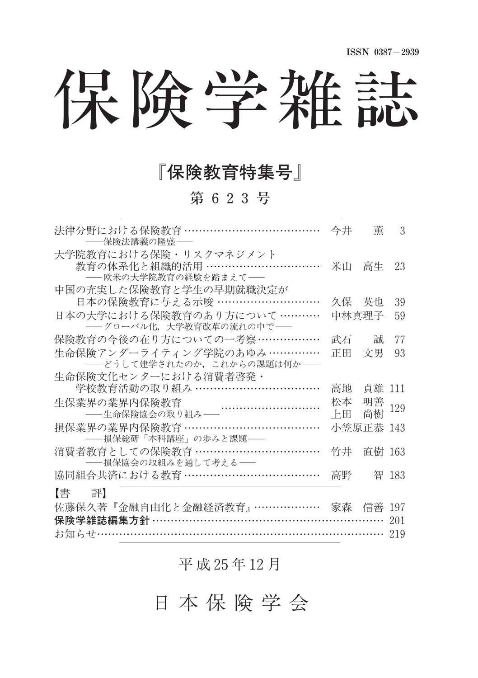# 保険学雑誌

### 『保険教育特集号』

第 623号

| 法律分野における保険教育 ………………………………<br>――保険法講義の降盛――                                                           | 今井       | 董         | 3     |
|-----------------------------------------------------------------------------------------------------|----------|-----------|-------|
| 大学院教育における保険・リスクマネジメント<br>教育の体系化と組織的活用 ……………………………<br>――欧米の大学院教育の経験を踏まえて――<br>中国の充実した保険教育と学生の早期就職決定が | 米山       | 高生        | 23    |
| 日本の保険教育に与える示唆 ………………………                                                                             |          | 久保 英也     | 39    |
| 日本の大学における保険教育のあり方について …………<br>- グローバル化、大学教育改革の流れの中で–                                                |          | 中林真理子     | 59    |
| 保険教育の今後の在り方についての一考察………………                                                                           |          | 武石   誠    | 77    |
| 生命保険アンダーライティング学院のあゆみ……………<br>――どうして建学されたのか、これからの課題は何か――                                             | 正田       | 文男        | 93    |
| 生命保険文化センターにおける消費者啓発・                                                                                |          |           |       |
| 学校教育活動の取り組み ……………………………                                                                             | 高地       | 貞雄 111    |       |
| 生保業界の業界内保険教育<br>:芥の美芥内保険教育<br>——生命保険協会の取り組み——                                                       | 松本<br>上田 | 明善<br>尚樹  | 129   |
| 損保業界の業界内保険教育 ………………………………<br>――損保総研「本科講座」の歩みと課題――                                                   |          | 小笠原正恭 143 |       |
| 消費者教育としての保険教育 ……………………………<br>──損保協会の取組みを通して考える──                                                    | 竹井       | 直樹 163    |       |
| 協同組合共済における教育 ………………………………                                                                           | 高野       |           | 智 183 |
| 【譬 評】                                                                                               |          |           |       |
| 佐藤保久著『金融自由化と金融経済教育』……………… 家森 信善                                                                     |          |           | 197   |
| 保険学雑誌編集方針 ……………………………………………………                                                                      |          |           | 201   |
| お知らせ…………………………………………………………………… 219                                                                  |          |           |       |

#### 平 成 25年 12月

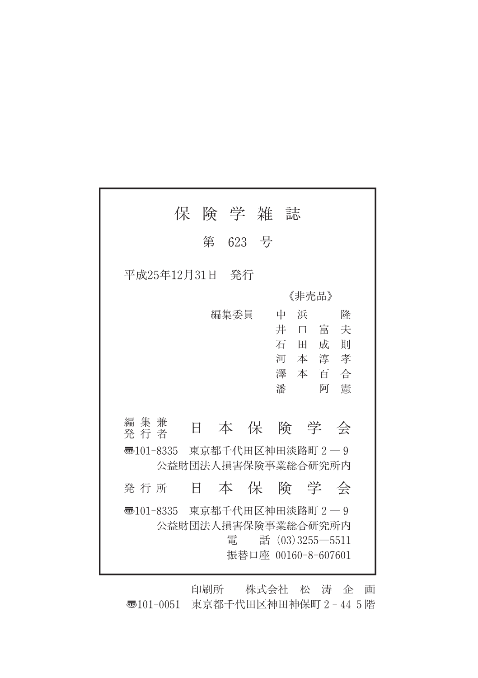| 保                                  |    | 険 学 雑 誌 |  |        |                     |  |
|------------------------------------|----|---------|--|--------|---------------------|--|
|                                    | 第  | 623 号   |  |        |                     |  |
| 平成25年12月31日<br>発行                  |    |         |  |        |                     |  |
|                                    |    |         |  | 《非壳品》  |                     |  |
|                                    |    | 編集委員    |  | 浜<br>中 | 降                   |  |
|                                    |    |         |  | 井<br>口 | 富<br>夫              |  |
|                                    |    |         |  | 石田     | 成<br>則              |  |
|                                    |    |         |  | 河本淳    | 孝                   |  |
|                                    |    |         |  | 澤 本 百  | 合                   |  |
|                                    |    |         |  | 潘      | 憲<br>阿              |  |
|                                    |    |         |  |        |                     |  |
| 編集兼<br>発 行 者                       | E  |         |  |        | 本保険学会               |  |
| <b>壶</b> 101-8335 東京都千代田区神田淡路町 2-9 |    |         |  |        |                     |  |
| 公益財団法人損害保険事業総合研究所内                 |    |         |  |        |                     |  |
| 発行所                                | Ħ. |         |  |        | 本 保 険 学 会           |  |
| न्5101-8335 東京都千代田区神田淡路町2-9        |    |         |  |        |                     |  |
|                                    |    |         |  |        | 公益財団法人損害保険事業総合研究所内  |  |
|                                    |    | 雷       |  |        | 話 $(03)3255 - 5511$ |  |
|                                    |    |         |  |        | 振替口座 00160-8-607601 |  |
|                                    |    |         |  |        |                     |  |

印刷所 株式会社 松 涛 企 画 〠101-0051 東京都千代田区神田神保町2-445階